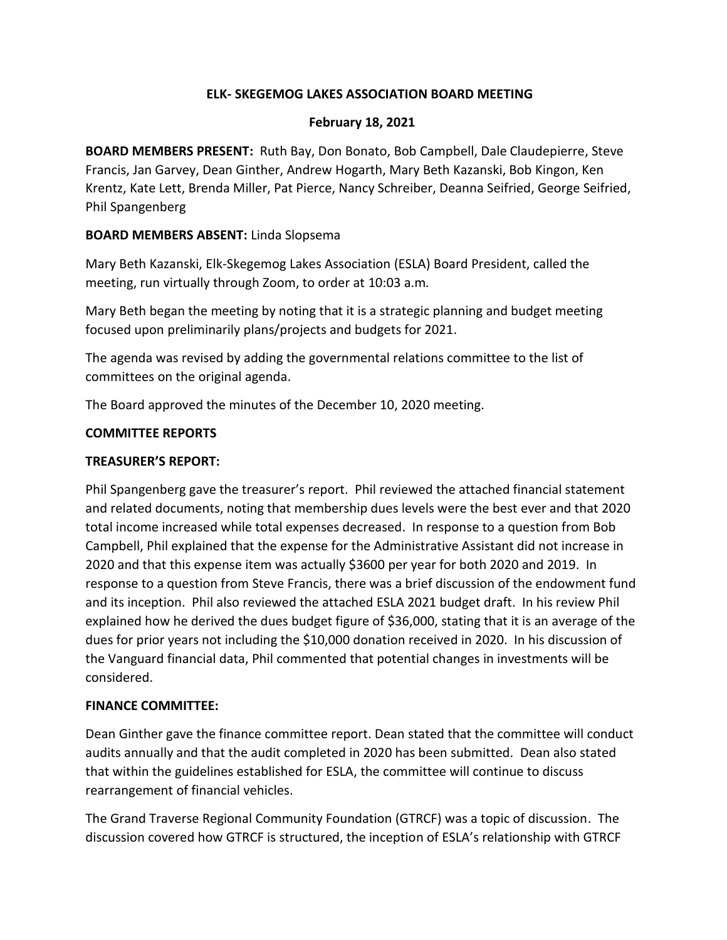### **ELK- SKEGEMOG LAKES ASSOCIATION BOARD MEETING**

### **February 18, 2021**

**BOARD MEMBERS PRESENT:** Ruth Bay, Don Bonato, Bob Campbell, Dale Claudepierre, Steve Francis, Jan Garvey, Dean Ginther, Andrew Hogarth, Mary Beth Kazanski, Bob Kingon, Ken Krentz, Kate Lett, Brenda Miller, Pat Pierce, Nancy Schreiber, Deanna Seifried, George Seifried, Phil Spangenberg

### **BOARD MEMBERS ABSENT:** Linda Slopsema

Mary Beth Kazanski, Elk-Skegemog Lakes Association (ESLA) Board President, called the meeting, run virtually through Zoom, to order at 10:03 a.m*.*

Mary Beth began the meeting by noting that it is a strategic planning and budget meeting focused upon preliminarily plans/projects and budgets for 2021.

The agenda was revised by adding the governmental relations committee to the list of committees on the original agenda.

The Board approved the minutes of the December 10, 2020 meeting.

### **COMMITTEE REPORTS**

### **TREASURER'S REPORT:**

Phil Spangenberg gave the treasurer's report. Phil reviewed the attached financial statement and related documents, noting that membership dues levels were the best ever and that 2020 total income increased while total expenses decreased. In response to a question from Bob Campbell, Phil explained that the expense for the Administrative Assistant did not increase in 2020 and that this expense item was actually \$3600 per year for both 2020 and 2019. In response to a question from Steve Francis, there was a brief discussion of the endowment fund and its inception. Phil also reviewed the attached ESLA 2021 budget draft. In his review Phil explained how he derived the dues budget figure of \$36,000, stating that it is an average of the dues for prior years not including the \$10,000 donation received in 2020. In his discussion of the Vanguard financial data, Phil commented that potential changes in investments will be considered.

### **FINANCE COMMITTEE:**

Dean Ginther gave the finance committee report. Dean stated that the committee will conduct audits annually and that the audit completed in 2020 has been submitted. Dean also stated that within the guidelines established for ESLA, the committee will continue to discuss rearrangement of financial vehicles.

The Grand Traverse Regional Community Foundation (GTRCF) was a topic of discussion. The discussion covered how GTRCF is structured, the inception of ESLA's relationship with GTRCF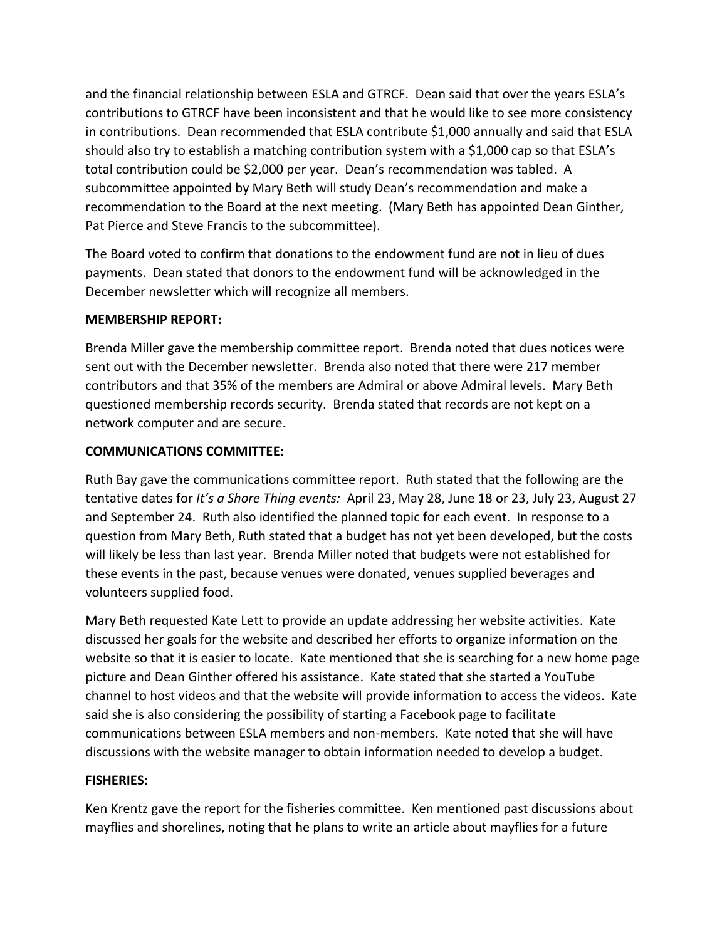and the financial relationship between ESLA and GTRCF. Dean said that over the years ESLA's contributions to GTRCF have been inconsistent and that he would like to see more consistency in contributions. Dean recommended that ESLA contribute \$1,000 annually and said that ESLA should also try to establish a matching contribution system with a \$1,000 cap so that ESLA's total contribution could be \$2,000 per year. Dean's recommendation was tabled. A subcommittee appointed by Mary Beth will study Dean's recommendation and make a recommendation to the Board at the next meeting. (Mary Beth has appointed Dean Ginther, Pat Pierce and Steve Francis to the subcommittee).

The Board voted to confirm that donations to the endowment fund are not in lieu of dues payments. Dean stated that donors to the endowment fund will be acknowledged in the December newsletter which will recognize all members.

## **MEMBERSHIP REPORT:**

Brenda Miller gave the membership committee report. Brenda noted that dues notices were sent out with the December newsletter. Brenda also noted that there were 217 member contributors and that 35% of the members are Admiral or above Admiral levels. Mary Beth questioned membership records security. Brenda stated that records are not kept on a network computer and are secure.

## **COMMUNICATIONS COMMITTEE:**

Ruth Bay gave the communications committee report. Ruth stated that the following are the tentative dates for *It's a Shore Thing events:* April 23, May 28, June 18 or 23, July 23, August 27 and September 24. Ruth also identified the planned topic for each event. In response to a question from Mary Beth, Ruth stated that a budget has not yet been developed, but the costs will likely be less than last year. Brenda Miller noted that budgets were not established for these events in the past, because venues were donated, venues supplied beverages and volunteers supplied food.

Mary Beth requested Kate Lett to provide an update addressing her website activities. Kate discussed her goals for the website and described her efforts to organize information on the website so that it is easier to locate. Kate mentioned that she is searching for a new home page picture and Dean Ginther offered his assistance. Kate stated that she started a YouTube channel to host videos and that the website will provide information to access the videos. Kate said she is also considering the possibility of starting a Facebook page to facilitate communications between ESLA members and non-members. Kate noted that she will have discussions with the website manager to obtain information needed to develop a budget.

## **FISHERIES:**

Ken Krentz gave the report for the fisheries committee. Ken mentioned past discussions about mayflies and shorelines, noting that he plans to write an article about mayflies for a future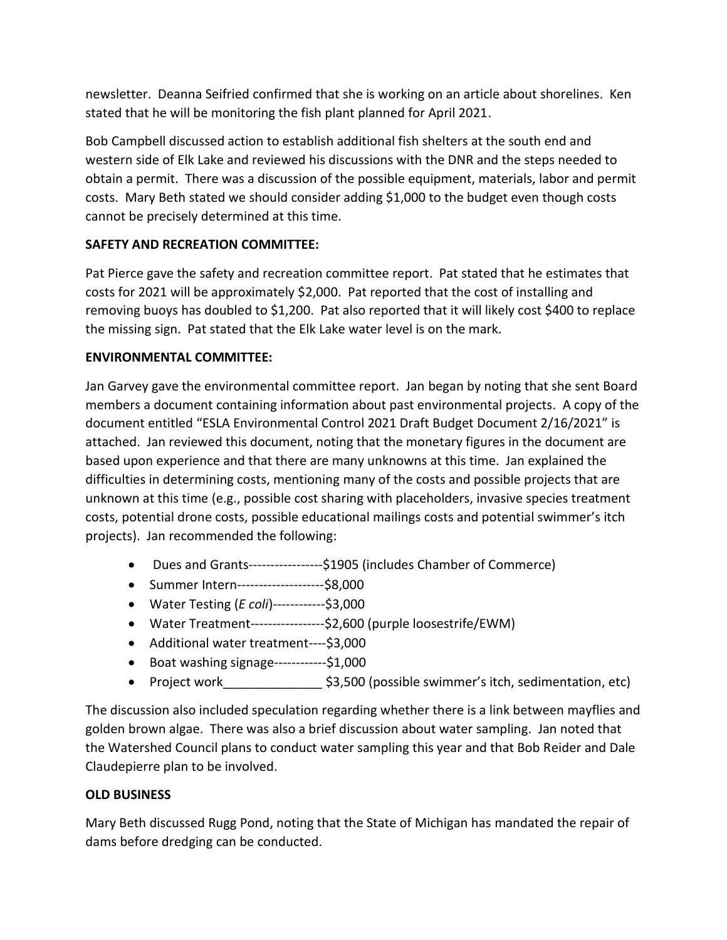newsletter. Deanna Seifried confirmed that she is working on an article about shorelines. Ken stated that he will be monitoring the fish plant planned for April 2021.

Bob Campbell discussed action to establish additional fish shelters at the south end and western side of Elk Lake and reviewed his discussions with the DNR and the steps needed to obtain a permit. There was a discussion of the possible equipment, materials, labor and permit costs. Mary Beth stated we should consider adding \$1,000 to the budget even though costs cannot be precisely determined at this time.

# **SAFETY AND RECREATION COMMITTEE:**

Pat Pierce gave the safety and recreation committee report. Pat stated that he estimates that costs for 2021 will be approximately \$2,000. Pat reported that the cost of installing and removing buoys has doubled to \$1,200. Pat also reported that it will likely cost \$400 to replace the missing sign. Pat stated that the Elk Lake water level is on the mark.

## **ENVIRONMENTAL COMMITTEE:**

Jan Garvey gave the environmental committee report. Jan began by noting that she sent Board members a document containing information about past environmental projects. A copy of the document entitled "ESLA Environmental Control 2021 Draft Budget Document 2/16/2021" is attached. Jan reviewed this document, noting that the monetary figures in the document are based upon experience and that there are many unknowns at this time. Jan explained the difficulties in determining costs, mentioning many of the costs and possible projects that are unknown at this time (e.g., possible cost sharing with placeholders, invasive species treatment costs, potential drone costs, possible educational mailings costs and potential swimmer's itch projects). Jan recommended the following:

- Dues and Grants-----------------\$1905 (includes Chamber of Commerce)
- Summer Intern--------------------\$8,000
- Water Testing (*E coli*)------------\$3,000
- Water Treatment-----------------\$2,600 (purple loosestrife/EWM)
- Additional water treatment----\$3,000
- Boat washing signage------------\$1,000
- Project work\_\_\_\_\_\_\_\_\_\_\_\_\_\_ \$3,500 (possible swimmer's itch, sedimentation, etc)

The discussion also included speculation regarding whether there is a link between mayflies and golden brown algae. There was also a brief discussion about water sampling. Jan noted that the Watershed Council plans to conduct water sampling this year and that Bob Reider and Dale Claudepierre plan to be involved.

## **OLD BUSINESS**

Mary Beth discussed Rugg Pond, noting that the State of Michigan has mandated the repair of dams before dredging can be conducted.